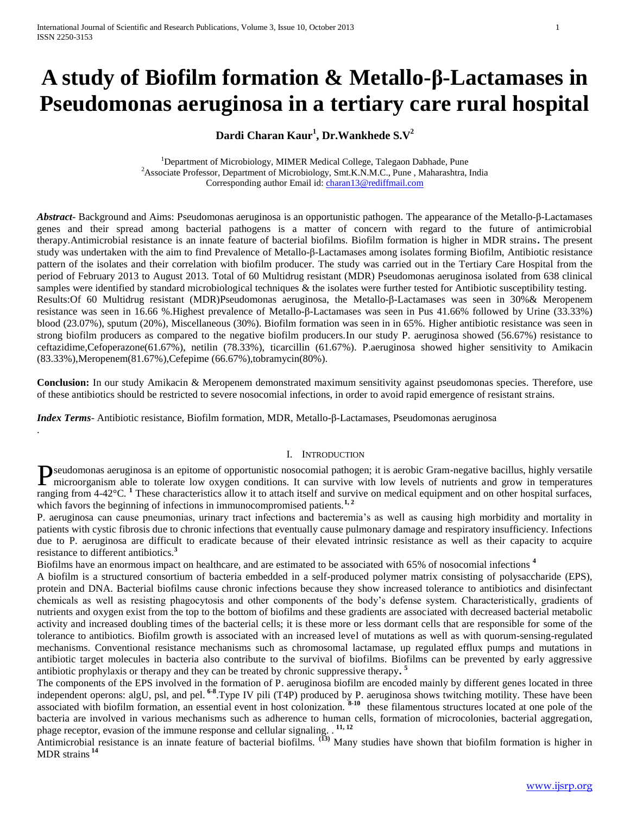# **A study of Biofilm formation & Metallo-β-Lactamases in Pseudomonas aeruginosa in a tertiary care rural hospital**

# **Dardi Charan Kaur<sup>1</sup> , Dr.Wankhede S.V<sup>2</sup>**

<sup>1</sup>Department of Microbiology, MIMER Medical College, Talegaon Dabhade, Pune <sup>2</sup>Associate Professor, Department of Microbiology, Smt.K.N.M.C., Pune, Maharashtra, India Corresponding author Email id[: charan13@rediffmail.com](mailto:charan13@rediffmail.com)

*Abstract***-** Background and Aims: Pseudomonas aeruginosa is an opportunistic pathogen. The appearance of the Metallo-β-Lactamases genes and their spread among bacterial pathogens is a matter of concern with regard to the future of antimicrobial therapy.Antimicrobial resistance is an innate feature of bacterial biofilms. Biofilm formation is higher in MDR strains**.** The present study was undertaken with the aim to find Prevalence of Metallo-β-Lactamases among isolates forming Biofilm, Antibiotic resistance pattern of the isolates and their correlation with biofilm producer. The study was carried out in the Tertiary Care Hospital from the period of February 2013 to August 2013. Total of 60 Multidrug resistant (MDR) Pseudomonas aeruginosa isolated from 638 clinical samples were identified by standard microbiological techniques & the isolates were further tested for Antibiotic susceptibility testing. Results:Of 60 Multidrug resistant (MDR)Pseudomonas aeruginosa, the Metallo-β-Lactamases was seen in 30%& Meropenem resistance was seen in 16.66 %.Highest prevalence of Metallo-β-Lactamases was seen in Pus 41.66% followed by Urine (33.33%) blood (23.07%), sputum (20%), Miscellaneous (30%). Biofilm formation was seen in in 65%. Higher antibiotic resistance was seen in strong biofilm producers as compared to the negative biofilm producers.In our study P. aeruginosa showed (56.67%) resistance to ceftazidime,Cefoperazone(61.67%), netilin (78.33%), ticarcillin (61.67%). P.aeruginosa showed higher sensitivity to Amikacin (83.33%),Meropenem(81.67%),Cefepime (66.67%),tobramycin(80%).

**Conclusion:** In our study Amikacin & Meropenem demonstrated maximum sensitivity against pseudomonas species. Therefore, use of these antibiotics should be restricted to severe nosocomial infections, in order to avoid rapid emergence of resistant strains.

*Index Terms*- Antibiotic resistance, Biofilm formation, MDR, Metallo-β-Lactamases, Pseudomonas aeruginosa

.

# I. INTRODUCTION

seudomonas aeruginosa is an epitome of opportunistic nosocomial pathogen; it is aerobic Gram-negative bacillus, highly versatile **P**seudomonas aeruginosa is an epitome of opportunistic nosocomial pathogen; it is aerobic Gram-negative bacillus, highly versatile microorganism able to tolerate low oxygen conditions. It can survive with low levels of nu ranging from 4-42°C. **<sup>1</sup>** These characteristics allow it to attach itself and survive on medical equipment and on other hospital surfaces, which favors the beginning of infections in immunocompromised patients.<sup>1,2</sup>

P. aeruginosa can cause pneumonias, urinary tract infections and bacteremia's as well as causing high morbidity and mortality in patients with cystic fibrosis due to chronic infections that eventually cause pulmonary damage and respiratory insufficiency. Infections due to P. aeruginosa are difficult to eradicate because of their elevated intrinsic resistance as well as their capacity to acquire resistance to different antibiotics.**<sup>3</sup>**

Biofilms have an enormous impact on healthcare, and are estimated to be associated with 65% of nosocomial infections **<sup>4</sup>**

A biofilm is a structured consortium of bacteria embedded in a self-produced polymer matrix consisting of polysaccharide (EPS), protein and DNA. Bacterial biofilms cause chronic infections because they show increased tolerance to antibiotics and disinfectant chemicals as well as resisting phagocytosis and other components of the body's defense system. Characteristically, gradients of nutrients and oxygen exist from the top to the bottom of biofilms and these gradients are associated with decreased bacterial metabolic activity and increased doubling times of the bacterial cells; it is these more or less dormant cells that are responsible for some of the tolerance to antibiotics. Biofilm growth is associated with an increased level of mutations as well as with quorum-sensing-regulated mechanisms. Conventional resistance mechanisms such as chromosomal lactamase, up regulated efflux pumps and mutations in antibiotic target molecules in bacteria also contribute to the survival of biofilms. Biofilms can be prevented by early aggressive antibiotic prophylaxis or therapy and they can be treated by chronic suppressive therapy**. 5**

The components of the EPS involved in the formation of P. aeruginosa biofilm are encoded mainly by different genes located in three independent operons: algU, psl, and pel. **6-8** .Type IV pili (T4P) produced by P. aeruginosa shows twitching motility. These have been associated with biofilm formation, an essential event in host colonization. **8-10** these filamentous structures located at one pole of the bacteria are involved in various mechanisms such as adherence to human cells, formation of microcolonies, bacterial aggregation, phage receptor, evasion of the immune response and cellular signaling. . **11, 12**

Antimicrobial resistance is an innate feature of bacterial biofilms. **(13)** Many studies have shown that biofilm formation is higher in MDR strains **<sup>14</sup>**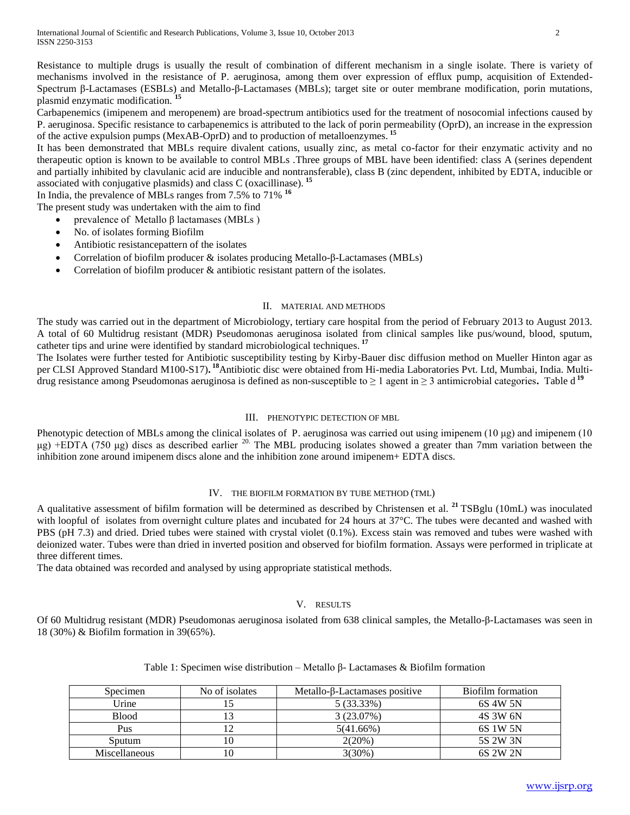Resistance to multiple drugs is usually the result of combination of different mechanism in a single isolate. There is variety of mechanisms involved in the resistance of P. aeruginosa, among them over expression of efflux pump, acquisition of Extended-Spectrum β-Lactamases (ESBLs) and Metallo-β-Lactamases (MBLs); target site or outer membrane modification, porin mutations, plasmid enzymatic modification. **<sup>15</sup>**

Carbapenemics (imipenem and meropenem) are broad-spectrum antibiotics used for the treatment of nosocomial infections caused by P. aeruginosa. Specific resistance to carbapenemics is attributed to the lack of porin permeability (OprD), an increase in the expression of the active expulsion pumps (MexAB-OprD) and to production of metalloenzymes. **<sup>15</sup>**

It has been demonstrated that MBLs require divalent cations, usually zinc, as metal co-factor for their enzymatic activity and no therapeutic option is known to be available to control MBLs .Three groups of MBL have been identified: class A (serines dependent and partially inhibited by clavulanic acid are inducible and nontransferable), class B (zinc dependent, inhibited by EDTA, inducible or associated with conjugative plasmids) and class C (oxacillinase). **<sup>15</sup>**

In India, the prevalence of MBLs ranges from 7.5% to 71% **<sup>16</sup>**

The present study was undertaken with the aim to find

- prevalence of Metallo β lactamases (MBLs )
- No. of isolates forming Biofilm
- Antibiotic resistancepattern of the isolates
- Correlation of biofilm producer & isolates producing Metallo-β-Lactamases (MBLs)
- Correlation of biofilm producer & antibiotic resistant pattern of the isolates.

## II. MATERIAL AND METHODS

The study was carried out in the department of Microbiology, tertiary care hospital from the period of February 2013 to August 2013. A total of 60 Multidrug resistant (MDR) Pseudomonas aeruginosa isolated from clinical samples like pus/wound, blood, sputum, catheter tips and urine were identified by standard microbiological techniques. **17**

The Isolates were further tested for Antibiotic susceptibility testing by Kirby-Bauer disc diffusion method on Mueller Hinton agar as per CLSI Approved Standard M100-S17)**. <sup>18</sup>**Antibiotic disc were obtained from Hi-media Laboratories Pvt. Ltd, Mumbai, India. Multidrug resistance among Pseudomonas aeruginosa is defined as non-susceptible to ≥ 1 agent in ≥ 3 antimicrobial categories**.** Table d **<sup>19</sup>**

### III. PHENOTYPIC DETECTION OF MBL

Phenotypic detection of MBLs among the clinical isolates of P. aeruginosa was carried out using imipenem (10 μg) and imipenem (10 μg) +EDTA (750 μg) discs as described earlier 20. The MBL producing isolates showed a greater than 7mm variation between the inhibition zone around imipenem discs alone and the inhibition zone around imipenem+ EDTA discs.

# IV. THE BIOFILM FORMATION BY TUBE METHOD (TML)

A qualitative assessment of bifilm formation will be determined as described by Christensen et al. **<sup>21</sup>**TSBglu (10mL) was inoculated with loopful of isolates from overnight culture plates and incubated for 24 hours at 37°C. The tubes were decanted and washed with PBS (pH 7.3) and dried. Dried tubes were stained with crystal violet (0.1%). Excess stain was removed and tubes were washed with deionized water. Tubes were than dried in inverted position and observed for biofilm formation. Assays were performed in triplicate at three different times.

The data obtained was recorded and analysed by using appropriate statistical methods.

# V. RESULTS

Of 60 Multidrug resistant (MDR) Pseudomonas aeruginosa isolated from 638 clinical samples, the Metallo-β-Lactamases was seen in 18 (30%) & Biofilm formation in 39(65%).

| Specimen      | No of isolates | Metallo- $\beta$ -Lactamases positive | Biofilm formation |
|---------------|----------------|---------------------------------------|-------------------|
| Urine         |                | 5 (33.33%)                            | 6S 4W 5N          |
| <b>Blood</b>  |                | 3(23.07%)                             | 4S 3W 6N          |
| Pus           |                | 5(41.66%)                             | 6S 1W 5N          |
| Sputum        | 10             | $2(20\%)$                             | 5S 2W 3N          |
| Miscellaneous | 10             | $3(30\%)$                             | 6S 2W 2N          |

# Table 1: Specimen wise distribution – Metallo β- Lactamases & Biofilm formation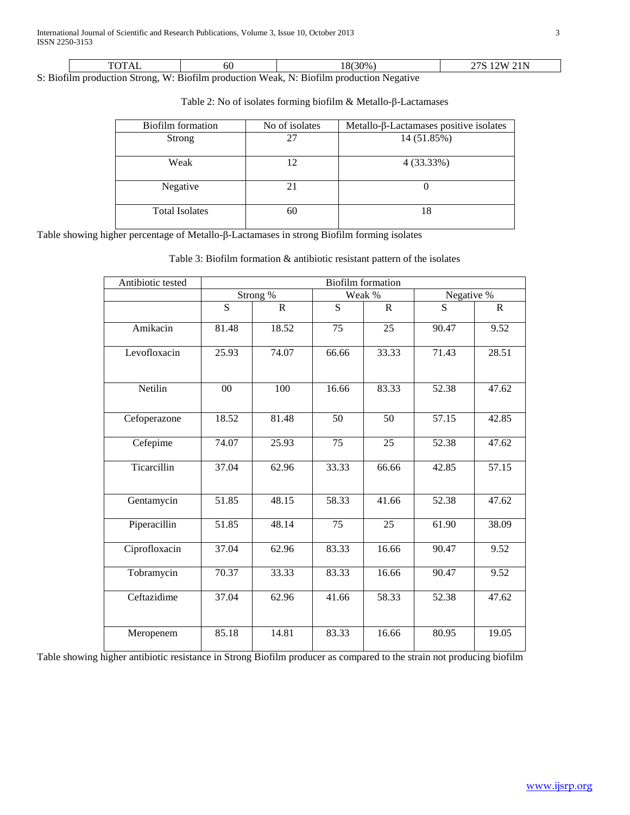|       | $\sqrt{2}$ | σē      | $^{\prime}30\%$ .<br>. റ<br>റ | - -<br>~~<br>AA. |
|-------|------------|---------|-------------------------------|------------------|
| _____ | $\sim$     | $- - -$ | .<br>$ -$<br>-                |                  |

S: Biofilm production Strong, W: Biofilm production Weak, N: Biofilm production Negative

| Biofilm formation     | No of isolates | Metallo-β-Lactamases positive isolates |
|-----------------------|----------------|----------------------------------------|
| <b>Strong</b>         | 27             | 14 (51.85%)                            |
| Weak                  | 12             | 4 (33.33%)                             |
| Negative              | 21             |                                        |
| <b>Total Isolates</b> | 60             | 18                                     |

Table 2: No of isolates forming biofilm & Metallo-β-Lactamases

Table showing higher percentage of Metallo-β-Lactamases in strong Biofilm forming isolates

| Antibiotic tested | <b>Biofilm</b> formation |             |        |           |            |              |
|-------------------|--------------------------|-------------|--------|-----------|------------|--------------|
|                   | Strong %                 |             | Weak % |           | Negative % |              |
|                   | S                        | $\mathbf R$ | S      | ${\bf R}$ | S          | $\mathbb{R}$ |
| Amikacin          | 81.48                    | 18.52       | 75     | 25        | 90.47      | 9.52         |
| Levofloxacin      | 25.93                    | 74.07       | 66.66  | 33.33     | 71.43      | 28.51        |
| Netilin           | 00                       | 100         | 16.66  | 83.33     | 52.38      | 47.62        |
| Cefoperazone      | 18.52                    | 81.48       | 50     | 50        | 57.15      | 42.85        |
| Cefepime          | 74.07                    | 25.93       | 75     | 25        | 52.38      | 47.62        |
| Ticarcillin       | 37.04                    | 62.96       | 33.33  | 66.66     | 42.85      | 57.15        |
| Gentamycin        | 51.85                    | 48.15       | 58.33  | 41.66     | 52.38      | 47.62        |
| Piperacillin      | 51.85                    | 48.14       | 75     | 25        | 61.90      | 38.09        |
| Ciprofloxacin     | 37.04                    | 62.96       | 83.33  | 16.66     | 90.47      | 9.52         |
| Tobramycin        | 70.37                    | 33.33       | 83.33  | 16.66     | 90.47      | 9.52         |
| Ceftazidime       | 37.04                    | 62.96       | 41.66  | 58.33     | 52.38      | 47.62        |
| Meropenem         | 85.18                    | 14.81       | 83.33  | 16.66     | 80.95      | 19.05        |

Table 3: Biofilm formation & antibiotic resistant pattern of the isolates

Table showing higher antibiotic resistance in Strong Biofilm producer as compared to the strain not producing biofilm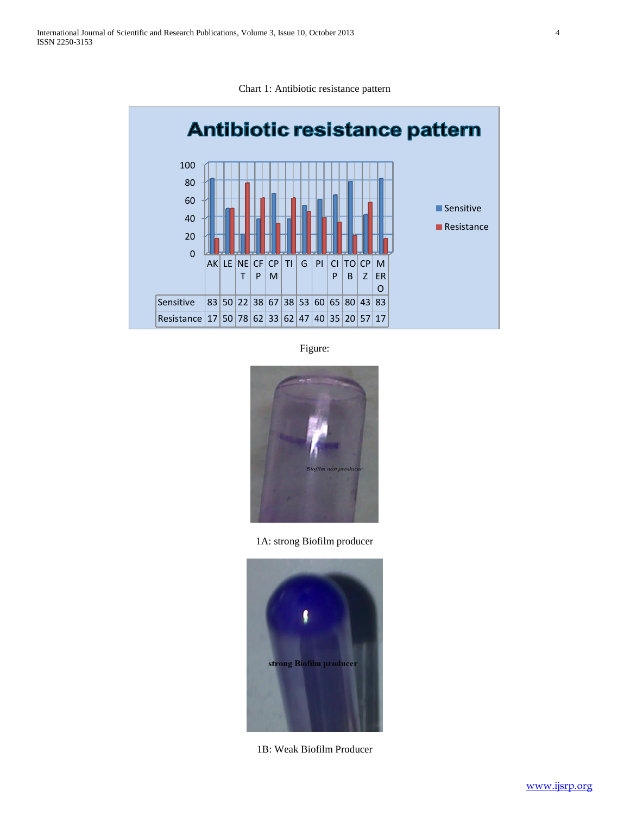



Figure:



1A: strong Biofilm producer



1B: Weak Biofilm Producer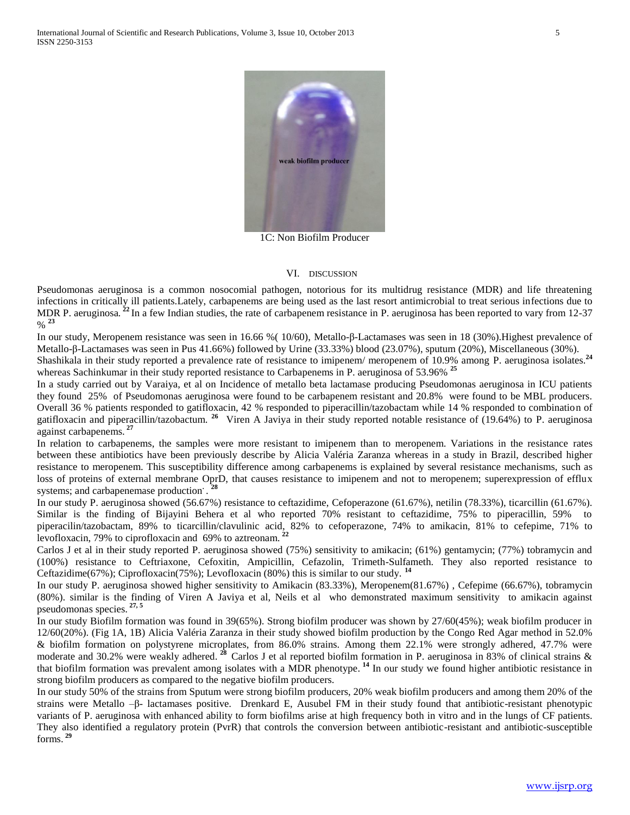

1C: Non Biofilm Producer

#### VI. DISCUSSION

Pseudomonas aeruginosa is a common nosocomial pathogen, notorious for its multidrug resistance (MDR) and life threatening infections in critically ill patients.Lately, carbapenems are being used as the last resort antimicrobial to treat serious infections due to MDR P. aeruginosa.<sup>22</sup>In a few Indian studies, the rate of carbapenem resistance in P. aeruginosa has been reported to vary from 12-37 % **<sup>23</sup>**

In our study, Meropenem resistance was seen in 16.66 %( 10/60), Metallo-β-Lactamases was seen in 18 (30%).Highest prevalence of Metallo-β-Lactamases was seen in Pus 41.66%) followed by Urine (33.33%) blood (23.07%), sputum (20%), Miscellaneous (30%). Shashikala in their study reported a prevalence rate of resistance to imipenem/ meropenem of 10.9% among P. aeruginosa isolates.**<sup>24</sup>**

whereas Sachinkumar in their study reported resistance to Carbapenems in P. aeruginosa of 53.96% **<sup>25</sup>**

In a study carried out by Varaiya, et al on Incidence of metallo beta lactamase producing Pseudomonas aeruginosa in ICU patients they found 25% of Pseudomonas aeruginosa were found to be carbapenem resistant and 20.8% were found to be MBL producers. Overall 36 % patients responded to gatifloxacin, 42 % responded to piperacillin/tazobactam while 14 % responded to combination of gatifloxacin and piperacillin/tazobactum. <sup>26</sup> Viren A Javiya in their study reported notable resistance of (19.64%) to P. aeruginosa against carbapenems. **<sup>27</sup>**

In relation to carbapenems, the samples were more resistant to imipenem than to meropenem. Variations in the resistance rates between these antibiotics have been previously describe by Alicia Valéria Zaranza whereas in a study in Brazil, described higher resistance to meropenem. This susceptibility difference among carbapenems is explained by several resistance mechanisms, such as loss of proteins of external membrane OprD, that causes resistance to imipenem and not to meropenem; superexpression of efflux systems; and carbapenemase production  $\cdot$ <sup>28</sup>

In our study P. aeruginosa showed (56.67%) resistance to ceftazidime, Cefoperazone (61.67%), netilin (78.33%), ticarcillin (61.67%). Similar is the finding of Bijayini Behera et al who reported 70% resistant to ceftazidime, 75% to piperacillin, 59% to piperacilin/tazobactam, 89% to ticarcillin/clavulinic acid, 82% to cefoperazone, 74% to amikacin, 81% to cefepime, 71% to levofloxacin, 79% to ciprofloxacin and 69% to aztreonam. **<sup>22</sup>**

Carlos J et al in their study reported P. aeruginosa showed (75%) sensitivity to amikacin; (61%) gentamycin; (77%) tobramycin and (100%) resistance to Ceftriaxone, Cefoxitin, Ampicillin, Cefazolin, Trimeth-Sulfameth. They also reported resistance to Ceftazidime(67%); Ciprofloxacin(75%); Levofloxacin (80%) this is similar to our study. **<sup>14</sup>**

In our study P. aeruginosa showed higher sensitivity to Amikacin (83.33%), Meropenem(81.67%) , Cefepime (66.67%), tobramycin (80%). similar is the finding of Viren A Javiya et al, Neils et al who demonstrated maximum sensitivity to amikacin against pseudomonas species. **27, 5**

In our study Biofilm formation was found in 39(65%). Strong biofilm producer was shown by 27/60(45%); weak biofilm producer in 12/60(20%). (Fig 1A, 1B) Alicia Valéria Zaranza in their study showed biofilm production by the Congo Red Agar method in 52.0% & biofilm formation on polystyrene microplates, from 86.0% strains. Among them 22.1% were strongly adhered, 47.7% were moderate and 30.2% were weakly adhered. <sup>28</sup> Carlos J et al reported biofilm formation in P. aeruginosa in 83% of clinical strains & that biofilm formation was prevalent among isolates with a MDR phenotype. **<sup>14</sup>** In our study we found higher antibiotic resistance in strong biofilm producers as compared to the negative biofilm producers.

In our study 50% of the strains from Sputum were strong biofilm producers, 20% weak biofilm producers and among them 20% of the strains were Metallo –β- lactamases positive. Drenkard E, Ausubel FM in their study found that antibiotic-resistant phenotypic variants of P. aeruginosa with enhanced ability to form biofilms arise at high frequency both in vitro and in the lungs of CF patients. They also identified a regulatory protein (PvrR) that controls the conversion between antibiotic-resistant and antibiotic-susceptible forms. **<sup>29</sup>**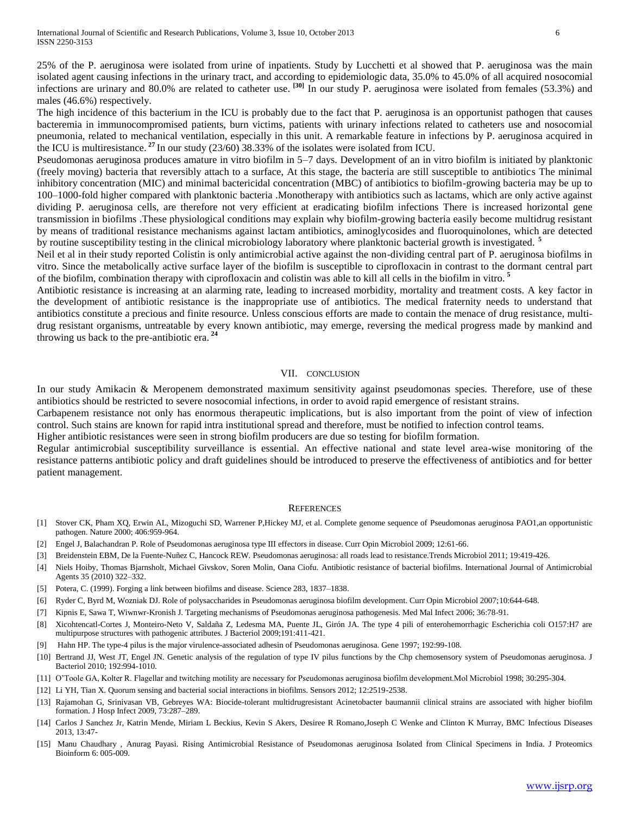25% of the P. aeruginosa were isolated from urine of inpatients. Study by Lucchetti et al showed that P. aeruginosa was the main isolated agent causing infections in the urinary tract, and according to epidemiologic data, 35.0% to 45.0% of all acquired nosocomial infections are urinary and 80.0% are related to catheter use. **[30]** In our study P. aeruginosa were isolated from females (53.3%) and males (46.6%) respectively.

The high incidence of this bacterium in the ICU is probably due to the fact that P. aeruginosa is an opportunist pathogen that causes bacteremia in immunocompromised patients, burn victims, patients with urinary infections related to catheters use and nosocomial pneumonia, related to mechanical ventilation, especially in this unit. A remarkable feature in infections by P. aeruginosa acquired in the ICU is multiresistance. **<sup>27</sup>**In our study (23/60) 38.33% of the isolates were isolated from ICU.

Pseudomonas aeruginosa produces amature in vitro biofilm in 5–7 days. Development of an in vitro biofilm is initiated by planktonic (freely moving) bacteria that reversibly attach to a surface, At this stage, the bacteria are still susceptible to antibiotics The minimal inhibitory concentration (MIC) and minimal bactericidal concentration (MBC) of antibiotics to biofilm-growing bacteria may be up to 100–1000-fold higher compared with planktonic bacteria .Monotherapy with antibiotics such as lactams, which are only active against dividing P. aeruginosa cells, are therefore not very efficient at eradicating biofilm infections There is increased horizontal gene transmission in biofilms .These physiological conditions may explain why biofilm-growing bacteria easily become multidrug resistant by means of traditional resistance mechanisms against lactam antibiotics, aminoglycosides and fluoroquinolones, which are detected by routine susceptibility testing in the clinical microbiology laboratory where planktonic bacterial growth is investigated. **<sup>5</sup>**

Neil et al in their study reported Colistin is only antimicrobial active against the non-dividing central part of P. aeruginosa biofilms in vitro. Since the metabolically active surface layer of the biofilm is susceptible to ciprofloxacin in contrast to the dormant central part of the biofilm, combination therapy with ciprofloxacin and colistin was able to kill all cells in the biofilm in vitro. **<sup>5</sup>**

Antibiotic resistance is increasing at an alarming rate, leading to increased morbidity, mortality and treatment costs. A key factor in the development of antibiotic resistance is the inappropriate use of antibiotics. The medical fraternity needs to understand that antibiotics constitute a precious and finite resource. Unless conscious efforts are made to contain the menace of drug resistance, multidrug resistant organisms, untreatable by every known antibiotic, may emerge, reversing the medical progress made by mankind and throwing us back to the pre-antibiotic era. **<sup>24</sup>**

## VII. CONCLUSION

In our study Amikacin & Meropenem demonstrated maximum sensitivity against pseudomonas species. Therefore, use of these antibiotics should be restricted to severe nosocomial infections, in order to avoid rapid emergence of resistant strains.

Carbapenem resistance not only has enormous therapeutic implications, but is also important from the point of view of infection control. Such stains are known for rapid intra institutional spread and therefore, must be notified to infection control teams.

Higher antibiotic resistances were seen in strong biofilm producers are due so testing for biofilm formation.

Regular antimicrobial susceptibility surveillance is essential. An effective national and state level area-wise monitoring of the resistance patterns antibiotic policy and draft guidelines should be introduced to preserve the effectiveness of antibiotics and for better patient management.

#### **REFERENCES**

- [1] Stover CK, Pham XQ, Erwin AL, Mizoguchi SD, Warrener P,Hickey MJ, et al. Complete genome sequence of Pseudomonas aeruginosa PAO1,an opportunistic pathogen. Nature 2000; 406:959-964.
- [2] Engel J, Balachandran P. Role of Pseudomonas aeruginosa type III effectors in disease. Curr Opin Microbiol 2009; 12:61-66.
- [3] Breidenstein EBM, De la Fuente-Nuñez C, Hancock REW. Pseudomonas aeruginosa: all roads lead to resistance.Trends Microbiol 2011; 19:419-426.
- [4] Niels Hoiby, Thomas Bjarnsholt, Michael Givskov, Soren Molin, Oana Ciofu. Antibiotic resistance of bacterial biofilms. International Journal of Antimicrobial Agents 35 (2010) 322–332.
- [5] Potera, C. (1999). Forging a link between biofilms and disease. Science 283, 1837–1838.
- [6] Ryder C, Byrd M, Wozniak DJ. Role of polysaccharides in Pseudomonas aeruginosa biofilm development. Curr Opin Microbiol 2007;10:644-648.
- [7] Kipnis E, Sawa T, Wiwnwr-Kronish J. Targeting mechanisms of Pseudomonas aeruginosa pathogenesis. Med Mal Infect 2006; 36:78-91.
- [8] Xicohtencatl-Cortes J, Monteiro-Neto V, Saldaña Z, Ledesma MA, Puente JL, Girón JA. The type 4 pili of enterohemorrhagic Escherichia coli O157:H7 are multipurpose structures with pathogenic attributes. J Bacteriol 2009;191:411-421.
- [9] Hahn HP. The type-4 pilus is the major virulence-associated adhesin of Pseudomonas aeruginosa. Gene 1997; 192:99-108.
- [10] Bertrand JJ, West JT, Engel JN. Genetic analysis of the regulation of type IV pilus functions by the Chp chemosensory system of Pseudomonas aeruginosa. J Bacteriol 2010; 192:994-1010.
- [11] O'Toole GA, Kolter R. Flagellar and twitching motility are necessary for Pseudomonas aeruginosa biofilm development.Mol Microbiol 1998; 30:295-304.
- [12] Li YH, Tian X. Quorum sensing and bacterial social interactions in biofilms. Sensors 2012; 12:2519-2538.
- [13] Rajamohan G, Srinivasan VB, Gebreyes WA: Biocide-tolerant multidrugresistant Acinetobacter baumannii clinical strains are associated with higher biofilm formation. J Hosp Infect 2009, 73:287–289.
- [14] Carlos J Sanchez Jr, Katrin Mende, Miriam L Beckius, Kevin S Akers, Desiree R Romano,Joseph C Wenke and Clinton K Murray, BMC Infectious Diseases 2013, 13:47-
- [15] Manu Chaudhary , Anurag Payasi. Rising Antimicrobial Resistance of Pseudomonas aeruginosa Isolated from Clinical Specimens in India. J Proteomics Bioinform 6: 005-009.